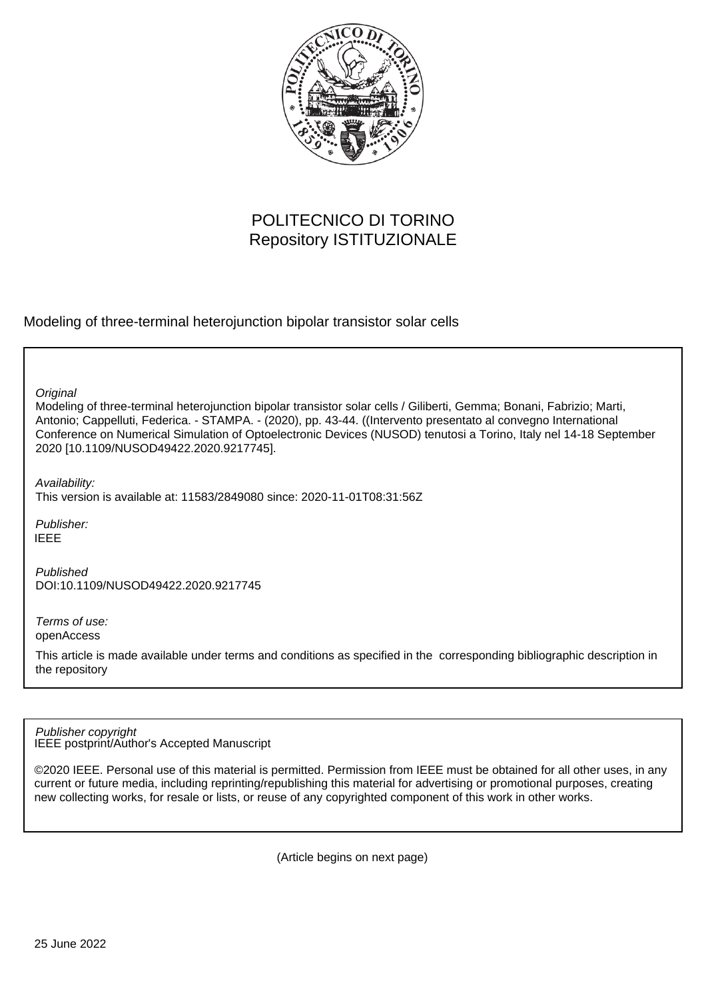

# POLITECNICO DI TORINO Repository ISTITUZIONALE

Modeling of three-terminal heterojunction bipolar transistor solar cells

**Original** 

Modeling of three-terminal heterojunction bipolar transistor solar cells / Giliberti, Gemma; Bonani, Fabrizio; Marti, Antonio; Cappelluti, Federica. - STAMPA. - (2020), pp. 43-44. ((Intervento presentato al convegno International Conference on Numerical Simulation of Optoelectronic Devices (NUSOD) tenutosi a Torino, Italy nel 14-18 September 2020 [10.1109/NUSOD49422.2020.9217745].

Availability:

This version is available at: 11583/2849080 since: 2020-11-01T08:31:56Z

Publisher: IEEE

Published DOI:10.1109/NUSOD49422.2020.9217745

Terms of use: openAccess

This article is made available under terms and conditions as specified in the corresponding bibliographic description in the repository

IEEE postprint/Author's Accepted Manuscript Publisher copyright

©2020 IEEE. Personal use of this material is permitted. Permission from IEEE must be obtained for all other uses, in any current or future media, including reprinting/republishing this material for advertising or promotional purposes, creating new collecting works, for resale or lists, or reuse of any copyrighted component of this work in other works.

(Article begins on next page)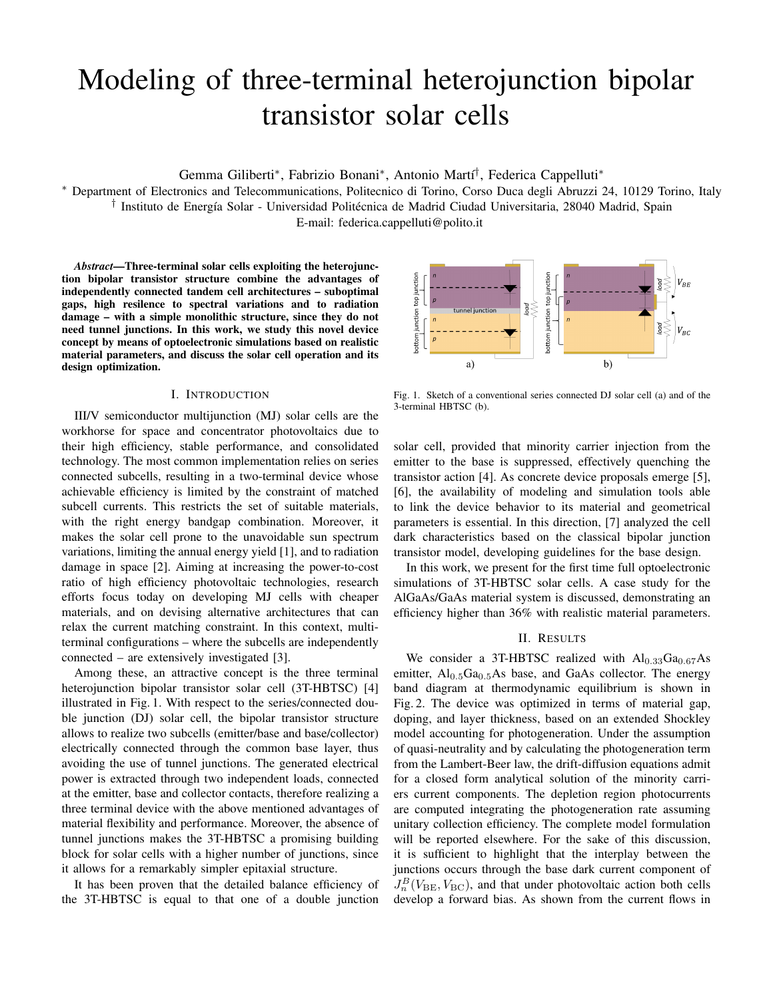# Modeling of three-terminal heterojunction bipolar transistor solar cells

Gemma Giliberti\*, Fabrizio Bonani\*, Antonio Martí<sup>†</sup>, Federica Cappelluti\*

<sup>∗</sup> Department of Electronics and Telecommunications, Politecnico di Torino, Corso Duca degli Abruzzi 24, 10129 Torino, Italy <sup>†</sup> Instituto de Energía Solar - Universidad Politécnica de Madrid Ciudad Universitaria, 28040 Madrid, Spain

E-mail: federica.cappelluti@polito.it

*Abstract*—Three-terminal solar cells exploiting the heterojunction bipolar transistor structure combine the advantages of independently connected tandem cell architectures – suboptimal gaps, high resilence to spectral variations and to radiation damage – with a simple monolithic structure, since they do not need tunnel junctions. In this work, we study this novel device concept by means of optoelectronic simulations based on realistic material parameters, and discuss the solar cell operation and its design optimization.

## I. INTRODUCTION

III/V semiconductor multijunction (MJ) solar cells are the workhorse for space and concentrator photovoltaics due to their high efficiency, stable performance, and consolidated technology. The most common implementation relies on series connected subcells, resulting in a two-terminal device whose achievable efficiency is limited by the constraint of matched subcell currents. This restricts the set of suitable materials, with the right energy bandgap combination. Moreover, it makes the solar cell prone to the unavoidable sun spectrum variations, limiting the annual energy yield [1], and to radiation damage in space [2]. Aiming at increasing the power-to-cost ratio of high efficiency photovoltaic technologies, research efforts focus today on developing MJ cells with cheaper materials, and on devising alternative architectures that can relax the current matching constraint. In this context, multiterminal configurations – where the subcells are independently connected – are extensively investigated [3].

Among these, an attractive concept is the three terminal heterojunction bipolar transistor solar cell (3T-HBTSC) [4] illustrated in Fig. 1. With respect to the series/connected double junction (DJ) solar cell, the bipolar transistor structure allows to realize two subcells (emitter/base and base/collector) electrically connected through the common base layer, thus avoiding the use of tunnel junctions. The generated electrical power is extracted through two independent loads, connected at the emitter, base and collector contacts, therefore realizing a three terminal device with the above mentioned advantages of material flexibility and performance. Moreover, the absence of tunnel junctions makes the 3T-HBTSC a promising building block for solar cells with a higher number of junctions, since it allows for a remarkably simpler epitaxial structure.

It has been proven that the detailed balance efficiency of the 3T-HBTSC is equal to that one of a double junction



Fig. 1. Sketch of a conventional series connected DJ solar cell (a) and of the 3-terminal HBTSC (b).

solar cell, provided that minority carrier injection from the emitter to the base is suppressed, effectively quenching the transistor action [4]. As concrete device proposals emerge [5], [6], the availability of modeling and simulation tools able to link the device behavior to its material and geometrical parameters is essential. In this direction, [7] analyzed the cell dark characteristics based on the classical bipolar junction transistor model, developing guidelines for the base design.

In this work, we present for the first time full optoelectronic simulations of 3T-HBTSC solar cells. A case study for the AlGaAs/GaAs material system is discussed, demonstrating an efficiency higher than 36% with realistic material parameters.

### II. RESULTS

We consider a 3T-HBTSC realized with  $Al_{0.33}Ga_{0.67}As$ emitter,  $Al<sub>0.5</sub>Ga<sub>0.5</sub>As base, and GaAs collector. The energy$ band diagram at thermodynamic equilibrium is shown in Fig. 2. The device was optimized in terms of material gap, doping, and layer thickness, based on an extended Shockley model accounting for photogeneration. Under the assumption of quasi-neutrality and by calculating the photogeneration term from the Lambert-Beer law, the drift-diffusion equations admit for a closed form analytical solution of the minority carriers current components. The depletion region photocurrents are computed integrating the photogeneration rate assuming unitary collection efficiency. The complete model formulation will be reported elsewhere. For the sake of this discussion, it is sufficient to highlight that the interplay between the junctions occurs through the base dark current component of  $J_n^B(V_{\text{BE}}, V_{\text{BC}})$ , and that under photovoltaic action both cells develop a forward bias. As shown from the current flows in